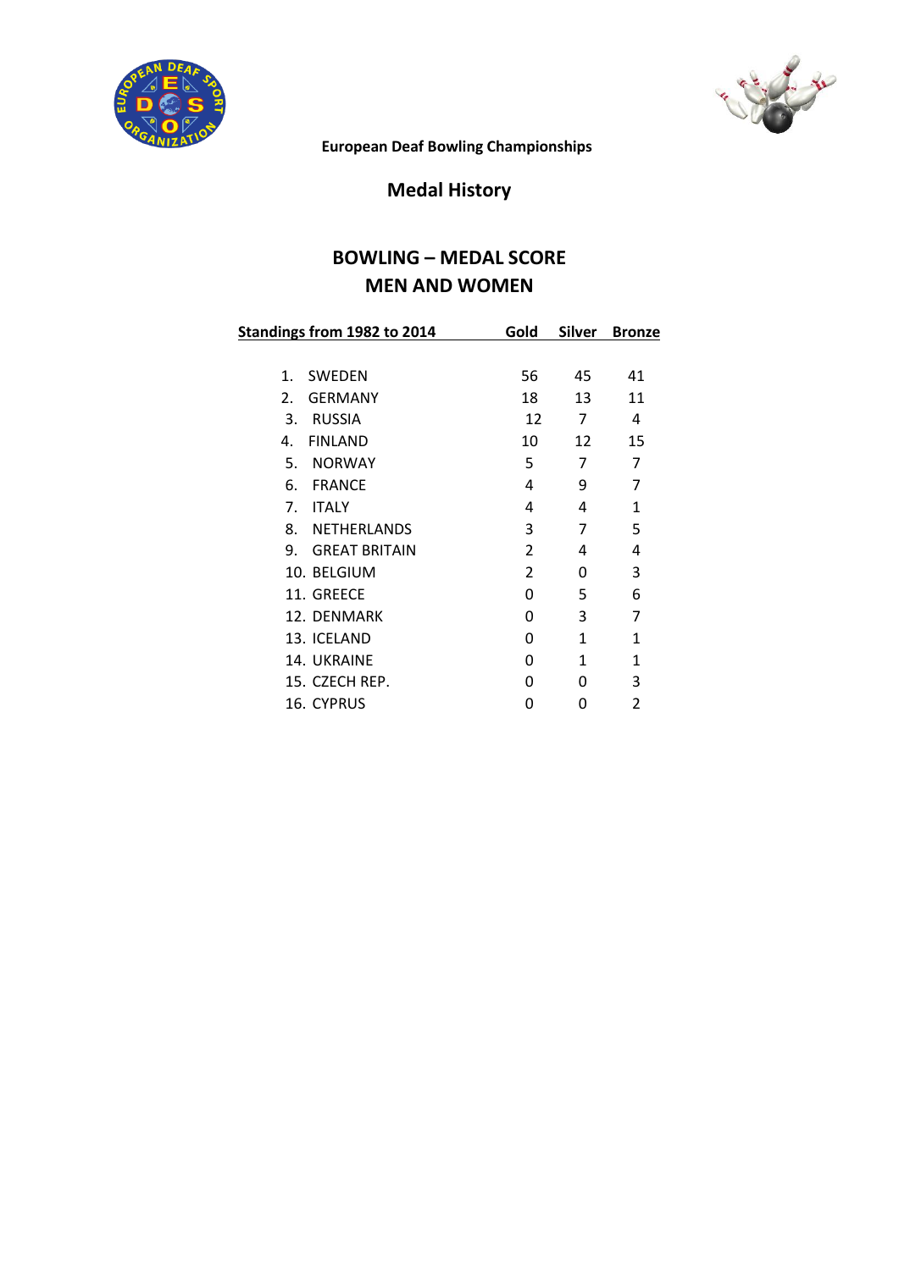



**European Deaf Bowling Championships**

### **Medal History**

### **BOWLING – MEDAL SCORE MEN AND WOMEN**

|                | Standings from 1982 to 2014 | Gold           | <b>Silver</b> | <b>Bronze</b>           |
|----------------|-----------------------------|----------------|---------------|-------------------------|
|                |                             |                |               |                         |
| $\mathbf{1}$ . | <b>SWEDEN</b>               | 56             | 45            | 41                      |
| 2.             | <b>GERMANY</b>              | 18             | 13            | 11                      |
| 3.             | <b>RUSSIA</b>               | 12             | 7             | 4                       |
| 4.             | <b>FINLAND</b>              | 10             | 12            | 15                      |
| 5.             | <b>NORWAY</b>               | 5              | 7             | 7                       |
| 6.             | <b>FRANCE</b>               | 4              | 9             | 7                       |
| 7.             | <b>ITALY</b>                | 4              | 4             | $\mathbf{1}$            |
| 8.             | <b>NETHERLANDS</b>          | 3              | 7             | 5                       |
| 9.             | <b>GREAT BRITAIN</b>        | $\overline{2}$ | 4             | 4                       |
|                | 10. BELGIUM                 | $\overline{2}$ | 0             | 3                       |
|                | 11. GREECE                  | 0              | 5             | 6                       |
|                | 12. DENMARK                 | 0              | 3             | 7                       |
|                | 13. ICELAND                 | O              | 1             | 1                       |
|                | 14. UKRAINE                 | O              | 1             | $\mathbf{1}$            |
|                | 15. CZECH REP.              | ŋ              | O             | 3                       |
|                | 16. CYPRUS                  | O              | 0             | $\overline{\mathbf{c}}$ |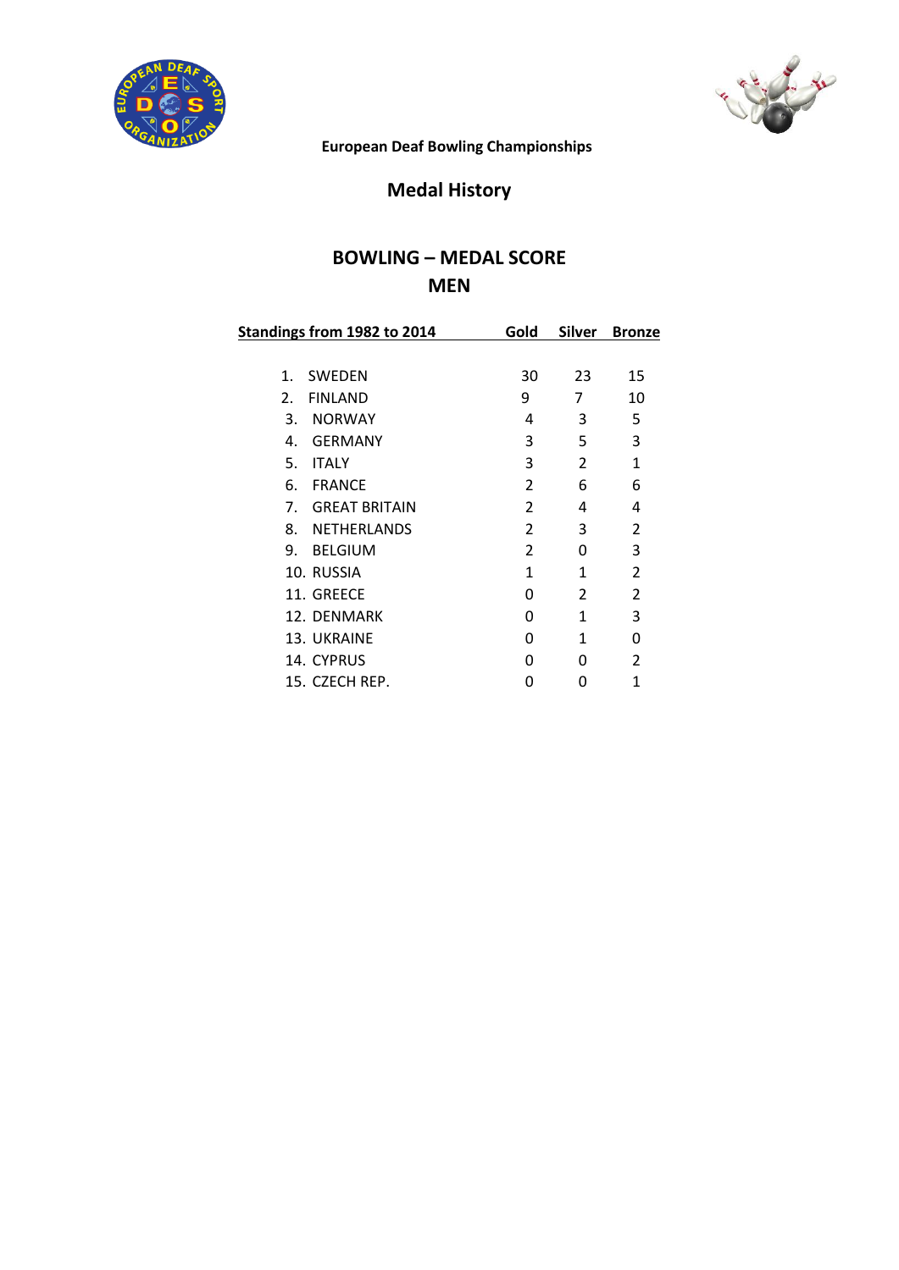



**European Deaf Bowling Championships**

# **Medal History**

### **BOWLING – MEDAL SCORE MEN**

| Standings from 1982 to 2014 |                      | Gold           | Silver | <b>Bronze</b>  |
|-----------------------------|----------------------|----------------|--------|----------------|
|                             |                      |                |        |                |
| $\mathbf{1}$ .              | SWEDEN               | 30             | 23     | 15             |
| 2.                          | <b>FINLAND</b>       | 9              | 7      | 10             |
| 3.                          | <b>NORWAY</b>        | 4              | 3      | 5              |
| 4.                          | <b>GERMANY</b>       | 3              | 5      | 3              |
| 5.                          | <b>ITALY</b>         | 3              | 2      | $\mathbf{1}$   |
| 6.                          | <b>FRANCE</b>        | $\overline{2}$ | 6      | 6              |
| $7_{\cdot}$                 | <b>GREAT BRITAIN</b> | $\overline{2}$ | 4      | 4              |
| 8.                          | <b>NETHERLANDS</b>   | 2              | 3      | $\overline{2}$ |
| 9.                          | <b>BELGIUM</b>       | 2              | 0      | 3              |
|                             | 10. RUSSIA           | 1              | 1      | $\overline{2}$ |
|                             | 11. GREECE           | 0              | 2      | $\overline{2}$ |
|                             | 12. DENMARK          | 0              | 1      | 3              |
|                             | 13. UKRAINE          | 0              | 1      | 0              |
|                             | 14. CYPRUS           | O              | O      | $\mathcal{P}$  |
|                             | 15. CZECH REP.       | ი              | 0      | 1              |